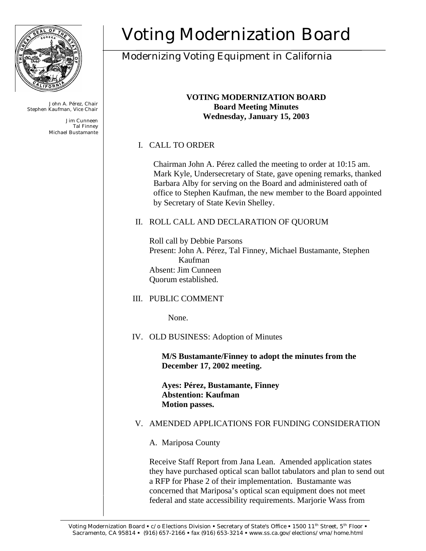

John A. Pérez, Chair Stephen Kaufman, Vice Chair

> Jim Cunneen Tal Finney Michael Bustamante

# Voting Modernization Board

# Modernizing Voting Equipment in California

#### **VOTING MODERNIZATION BOARD Board Meeting Minutes Wednesday, January 15, 2003**

# I. CALL TO ORDER

 Chairman John A. Pérez called the meeting to order at 10:15 am. Mark Kyle, Undersecretary of State, gave opening remarks, thanked Barbara Alby for serving on the Board and administered oath of office to Stephen Kaufman, the new member to the Board appointed by Secretary of State Kevin Shelley.

# II. ROLL CALL AND DECLARATION OF QUORUM

Roll call by Debbie Parsons Present: John A. Pérez, Tal Finney, Michael Bustamante, Stephen Kaufman Absent: Jim Cunneen Quorum established.

# III. PUBLIC COMMENT

None.

# IV. OLD BUSINESS: Adoption of Minutes

**M/S Bustamante/Finney to adopt the minutes from the December 17, 2002 meeting.**

**Ayes: Pérez, Bustamante, Finney Abstention: Kaufman Motion passes.**

# V. AMENDED APPLICATIONS FOR FUNDING CONSIDERATION

A. Mariposa County

Receive Staff Report from Jana Lean. Amended application states they have purchased optical scan ballot tabulators and plan to send out a RFP for Phase 2 of their implementation. Bustamante was concerned that Mariposa's optical scan equipment does not meet federal and state accessibility requirements. Marjorie Wass from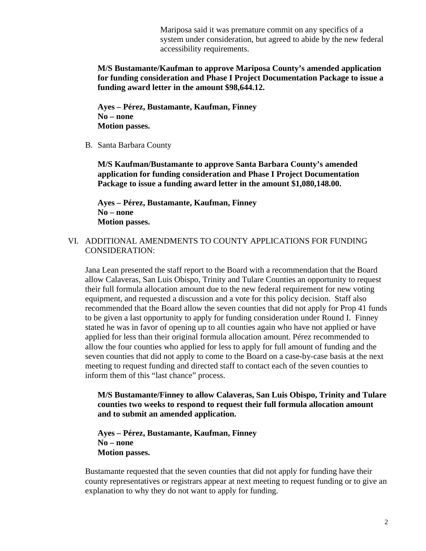Mariposa said it was premature commit on any specifics of a system under consideration, but agreed to abide by the new federal accessibility requirements.

#### **M/S Bustamante/Kaufman to approve Mariposa County's amended application for funding consideration and Phase I Project Documentation Package to issue a funding award letter in the amount \$98,644.12.**

**Ayes – Pérez, Bustamante, Kaufman, Finney No – none Motion passes.**

B. Santa Barbara County

**M/S Kaufman/Bustamante to approve Santa Barbara County's amended application for funding consideration and Phase I Project Documentation Package to issue a funding award letter in the amount \$1,080,148.00.**

**Ayes – Pérez, Bustamante, Kaufman, Finney No – none Motion passes.**

VI. ADDITIONAL AMENDMENTS TO COUNTY APPLICATIONS FOR FUNDING CONSIDERATION:

Jana Lean presented the staff report to the Board with a recommendation that the Board allow Calaveras, San Luis Obispo, Trinity and Tulare Counties an opportunity to request their full formula allocation amount due to the new federal requirement for new voting equipment, and requested a discussion and a vote for this policy decision. Staff also recommended that the Board allow the seven counties that did not apply for Prop 41 funds to be given a last opportunity to apply for funding consideration under Round I. Finney stated he was in favor of opening up to all counties again who have not applied or have applied for less than their original formula allocation amount. Pérez recommended to allow the four counties who applied for less to apply for full amount of funding and the seven counties that did not apply to come to the Board on a case-by-case basis at the next meeting to request funding and directed staff to contact each of the seven counties to inform them of this "last chance" process.

**M/S Bustamante/Finney to allow Calaveras, San Luis Obispo, Trinity and Tulare counties two weeks to respond to request their full formula allocation amount and to submit an amended application.**

#### **Ayes – Pérez, Bustamante, Kaufman, Finney No – none Motion passes.**

Bustamante requested that the seven counties that did not apply for funding have their county representatives or registrars appear at next meeting to request funding or to give an explanation to why they do not want to apply for funding.